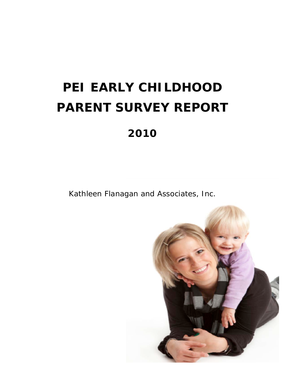# **PEI EARLY CHILDHOOD PARENT SURVEY REPORT 2010**

Kathleen Flanagan and Associates, Inc.

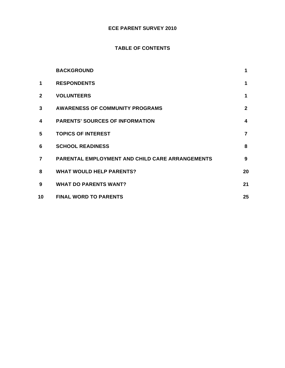# **ECE PARENT SURVEY 2010**

# **TABLE OF CONTENTS**

|              | <b>BACKGROUND</b>                                      | 1                |
|--------------|--------------------------------------------------------|------------------|
| 1            | <b>RESPONDENTS</b>                                     | 1                |
| $\mathbf{2}$ | <b>VOLUNTEERS</b>                                      | 1                |
| 3            | <b>AWARENESS OF COMMUNITY PROGRAMS</b>                 | $\overline{2}$   |
| 4            | <b>PARENTS' SOURCES OF INFORMATION</b>                 | $\boldsymbol{4}$ |
| 5            | <b>TOPICS OF INTEREST</b>                              | $\overline{7}$   |
| 6            | <b>SCHOOL READINESS</b>                                | 8                |
| 7            | <b>PARENTAL EMPLOYMENT AND CHILD CARE ARRANGEMENTS</b> | 9                |
| 8            | <b>WHAT WOULD HELP PARENTS?</b>                        | 20               |
| 9            | <b>WHAT DO PARENTS WANT?</b>                           | 21               |
| 10           | <b>FINAL WORD TO PARENTS</b>                           | 25               |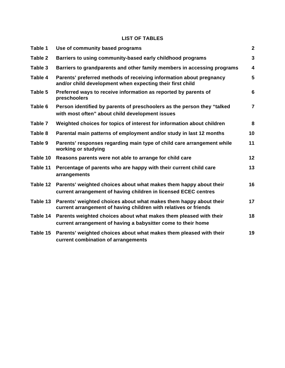# **LIST OF TABLES**

| Table 1  | Use of community based programs                                                                                                       | $\mathbf{2}$            |
|----------|---------------------------------------------------------------------------------------------------------------------------------------|-------------------------|
| Table 2  | Barriers to using community-based early childhood programs                                                                            | $\overline{3}$          |
| Table 3  | Barriers to grandparents and other family members in accessing programs                                                               | $\overline{\mathbf{4}}$ |
| Table 4  | Parents' preferred methods of receiving information about pregnancy<br>and/or child development when expecting their first child      | 5                       |
| Table 5  | Preferred ways to receive information as reported by parents of<br>preschoolers                                                       | $6\phantom{a}$          |
| Table 6  | Person identified by parents of preschoolers as the person they "talked<br>with most often" about child development issues            | $\overline{7}$          |
| Table 7  | Weighted choices for topics of interest for information about children                                                                | 8                       |
| Table 8  | Parental main patterns of employment and/or study in last 12 months                                                                   | 10                      |
| Table 9  | Parents' responses regarding main type of child care arrangement while<br>working or studying                                         | 11                      |
| Table 10 | Reasons parents were not able to arrange for child care                                                                               | 12                      |
| Table 11 | Percentage of parents who are happy with their current child care<br>arrangements                                                     | 13                      |
| Table 12 | Parents' weighted choices about what makes them happy about their<br>current arrangement of having children in licensed ECEC centres  | 16                      |
| Table 13 | Parents' weighted choices about what makes them happy about their<br>current arrangement of having children with relatives or friends | 17                      |
| Table 14 | Parents weighted choices about what makes them pleased with their<br>current arrangement of having a babysitter come to their home    | 18                      |
| Table 15 | Parents' weighted choices about what makes them pleased with their<br>current combination of arrangements                             | 19                      |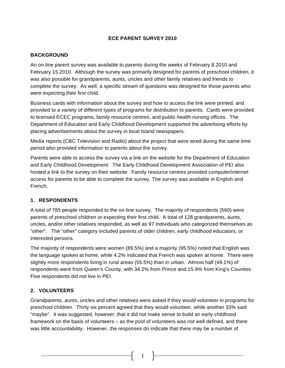#### **ECE PARENT SURVEY 2010**

#### **BACKGROUND**

An on-line parent survey was available to parents during the weeks of February 8.2010 and February 15.2010. Although the survey was primarily designed for parents of preschool children, it was also possible for grandparents, aunts, uncles and other family relatives and friends to complete the survey. As well, a specific stream of questions was designed for those parents who were expecting their first child.

Business cards with information about the survey and how to access the link were printed, and provided to a variety of different types of programs for distribution to parents. Cards were provided to licensed ECEC programs, family resource centres, and public health nursing offices. The Department of Education and Early Childhood Development supported the advertising efforts by placing advertisements about the survey in local Island newspapers.

Media reports (CBC Television and Radio) about the project that were aired during the same time period also provided information to parents about the survey.

Parents were able to access the survey via a link on the website for the Department of Education and Early Childhood Development. The Early Childhood Development Association of PEI also hosted a link to the survey on their website. Family resource centres provided computer/internet access for parents to be able to complete the survey. The survey was available in English and French.

# **1. RESPONDENTS**

A total of 785 people responded to the on-line survey. The majority of respondents (560) were parents of preschool children or expecting their first child. A total of 128 grandparents, aunts, uncles, and/or other relatives responded, as well as 97 individuals who categorized themselves as "other". The "other" category included parents of older children, early childhood educators, or interested persons.

The majority of respondents were women (89.5%) and a majority (95.5%) noted that English was the language spoken at home, while 4.2% indicated that French was spoken at home. There were slightly more respondents living in rural areas (55.5%) than in urban. Almost half (49.1%) of respondents were from Queen's County, with 34.2% from Prince and 15.9% from King's Counties. Five respondents did not live in PEI.

# **2. VOLUNTEERS**

Grandparents, aunts, uncles and other relatives were asked if they would volunteer in programs for preschool children. Thirty six percent agreed that they would volunteer, while another 33% said "maybe". It was suggested, however, that it did not make sense to build an early childhood framework on the basis of volunteers – as the pool of volunteers was not well defined, and there was little accountability. However, the responses do indicate that there may be a number of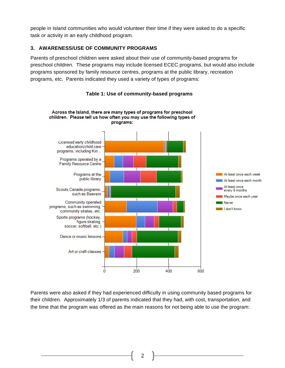people in Island communities who would volunteer their time if they were asked to do a specific task or activity in an early childhood program.

# **3. AWARENESS/USE OF COMMUNITY PROGRAMS**

Parents of preschool children were asked about their use of community-based programs for preschool children. These programs may include licensed ECEC programs, but would also include programs sponsored by family resource centres, programs at the public library, recreation programs, etc. Parents indicated they used a variety of types of programs:



### **Table 1: Use of community-based programs**

Parents were also asked if they had experienced difficulty in using community based programs for their children. Approximately 1/3 of parents indicated that they had, with cost, transportation, and the time that the program was offered as the main reasons for not being able to use the program: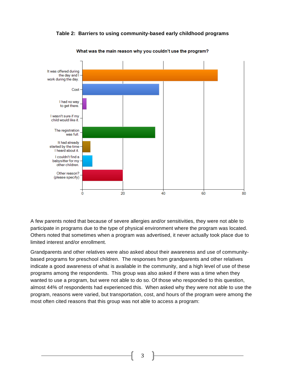**Table 2: Barriers to using community-based early childhood programs**



What was the main reason why you couldn't use the program?

A few parents noted that because of severe allergies and/or sensitivities, they were not able to participate in programs due to the type of physical environment where the program was located. Others noted that sometimes when a program was advertised, it never actually took place due to limited interest and/or enrollment.

Grandparents and other relatives were also asked about their awareness and use of communitybased programs for preschool children. The responses from grandparents and other relatives indicate a good awareness of what is available in the community, and a high level of use of these programs among the respondents. This group was also asked if there was a time when they wanted to use a program, but were not able to do so. Of those who responded to this question, almost 44% of respondents had experienced this. When asked why they were not able to use the program, reasons were varied, but transportation, cost, and hours of the program were among the most often cited reasons that this group was not able to access a program: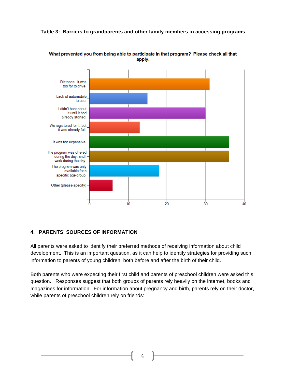



What prevented you from being able to participate in that program? Please check all that apply.

# **4. PARENTS' SOURCES OF INFORMATION**

All parents were asked to identify their preferred methods of receiving information about child development. This is an important question, as it can help to identify strategies for providing such information to parents of young children, both before and after the birth of their child.

Both parents who were expecting their first child and parents of preschool children were asked this question. Responses suggest that both groups of parents rely heavily on the internet, books and magazines for information. For information about pregnancy and birth, parents rely on their doctor, while parents of preschool children rely on friends: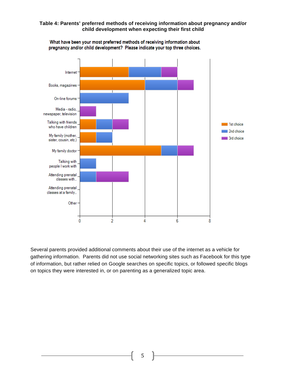#### **Table 4: Parents' preferred methods of receiving information about pregnancy and/or child development when expecting their first child**



What have been your most preferred methods of receiving information about pregnancy and/or child development? Please indicate your top three choices.

Several parents provided additional comments about their use of the internet as a vehicle for gathering information. Parents did not use social networking sites such as Facebook for this type of information, but rather relied on Google searches on specific topics, or followed specific blogs on topics they were interested in, or on parenting as a generalized topic area.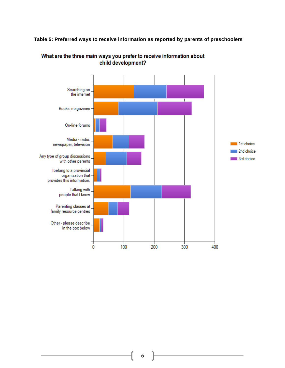#### **Table 5: Preferred ways to receive information as reported by parents of preschoolers**



# What are the three main ways you prefer to receive information about child development?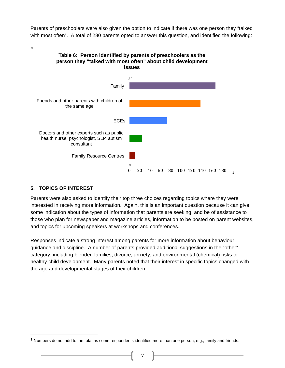Parents of preschoolers were also given the option to indicate if there was one person they "talked with most often". A total of 280 parents opted to answer this question, and identified the following:



# **5. TOPICS OF INTEREST**

!!!!!!!!!!!!!!!!!!!!!!!!!!!!!!!!!!!!!!!!!!!!!!!!!!!!!!!

Parents were also asked to identify their top three choices regarding topics where they were interested in receiving more information. Again, this is an important question because it can give some indication about the types of information that parents are seeking, and be of assistance to those who plan for newspaper and magazine articles, information to be posted on parent websites, and topics for upcoming speakers at workshops and conferences.

Responses indicate a strong interest among parents for more information about behaviour guidance and discipline. A number of parents provided additional suggestions in the "other" category, including blended families, divorce, anxiety, and environmental (chemical) risks to healthy child development. Many parents noted that their interest in specific topics changed with the age and developmental stages of their children.

 $1$  Numbers do not add to the total as some respondents identified more than one person, e.g., family and friends.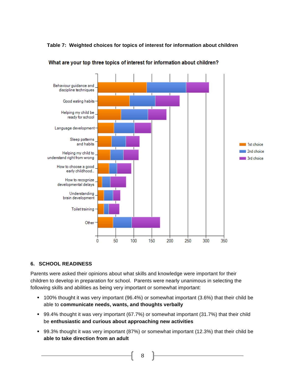**Table 7: Weighted choices for topics of interest for information about children**



What are your top three topics of interest for information about children?

# **6. SCHOOL READINESS**

Parents were asked their opinions about what skills and knowledge were important for their children to develop in preparation for school. Parents were nearly unanimous in selecting the following skills and abilities as being very important or somewhat important:

- ! 100% thought it was very important (96.4%) or somewhat important (3.6%) that their child be able to **communicate needs, wants, and thoughts verbally**
- ! 99.4% thought it was very important (67.7%) or somewhat important (31.7%) that their child be **enthusiastic and curious about approaching new activities**
- ! 99.3% thought it was very important (87%) or somewhat important (12.3%) that their child be **able to take direction from an adult**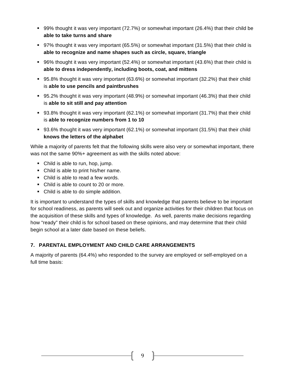- ! 99% thought it was very important (72.7%) or somewhat important (26.4%) that their child be **able to take turns and share**
- ! 97% thought it was very important (65.5%) or somewhat important (31.5%) that their child is **able to recognize and name shapes such as circle, square, triangle**
- ! 96% thought it was very important (52.4%) or somewhat important (43.6%) that their child is **able to dress independently, including boots, coat, and mittens**
- ! 95.8% thought it was very important (63.6%) or somewhat important (32.2%) that their child is **able to use pencils and paintbrushes**
- ! 95.2% thought it was very important (48.9%) or somewhat important (46.3%) that their child is **able to sit still and pay attention**
- ! 93.8% thought it was very important (62.1%) or somewhat important (31.7%) that their child is **able to recognize numbers from 1 to 10**
- ! 93.6% thought it was very important (62.1%) or somewhat important (31.5%) that their child **knows the letters of the alphabet**

While a majority of parents felt that the following skills were also very or somewhat important, there was not the same 90%+ agreement as with the skills noted above:

- Child is able to run, hop, jump.
- ! Child is able to print his/her name.
- Child is able to read a few words.
- Child is able to count to 20 or more.
- ! Child is able to do simple addition.

It is important to understand the types of skills and knowledge that parents believe to be important for school readiness, as parents will seek out and organize activities for their children that focus on the acquisition of these skills and types of knowledge. As well, parents make decisions regarding how "ready" their child is for school based on these opinions, and may determine that their child begin school at a later date based on these beliefs.

# **7. PARENTAL EMPLOYMENT AND CHILD CARE ARRANGEMENTS**

A majority of parents (64.4%) who responded to the survey are employed or self-employed on a full time basis: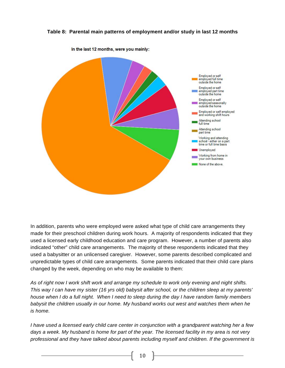#### **Table 8: Parental main patterns of employment and/or study in last 12 months**



In addition, parents who were employed were asked what type of child care arrangements they made for their preschool children during work hours. A majority of respondents indicated that they used a licensed early childhood education and care program. However, a number of parents also indicated "other" child care arrangements. The majority of these respondents indicated that they used a babysitter or an unlicensed caregiver. However, some parents described complicated and unpredictable types of child care arrangements. Some parents indicated that their child care plans changed by the week, depending on who may be available to them:

*As of right now I work shift work and arrange my schedule to work only evening and night shifts. This way I can have my sister (16 yrs old) babysit after school, or the children sleep at my parents' house when I do a full night. When I need to sleep during the day I have random family members babysit the children usually in our home. My husband works out west and watches them when he is home.* 

*I have used a licensed early child care center in conjunction with a grandparent watching her a few days a week. My husband is home for part of the year. The licensed facility in my area is not very professional and they have talked about parents including myself and children. If the government is*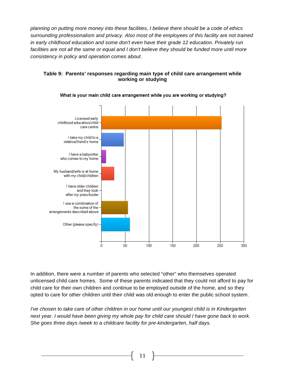*planning on putting more money into these facilities, I believe there should be a code of ethics surrounding professionalism and privacy. Also most of the employees of this facility are not trained in early childhood education and some don't even have their grade 12 education. Privately run*  facilities are not all the same or equal and I don't believe they should be funded more until more *consistency in policy and operation comes about.*



#### **Table 9: Parents' responses regarding main type of child care arrangement while working or studying**

In addition, there were a number of parents who selected "other" who themselves operated unlicensed child care homes. Some of these parents indicated that they could not afford to pay for child care for their own children and continue to be employed outside of the home, and so they opted to care for other children until their child was old enough to enter the public school system.

*I've chosen to take care of other children in our home until our youngest child is in Kindergarten next year. I would have been giving my whole pay for child care should I have gone back to work. She goes three days /week to a childcare facility for pre-kindergarten, half days.*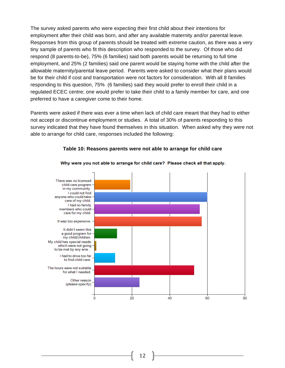The survey asked parents who were expecting their first child about their intentions for employment after their child was born, and after any available maternity and/or parental leave. Responses from this group of parents should be treated with extreme caution, as there was a very tiny sample of parents who fit this description who responded to the survey. Of those who did respond (8 parents-to-be), 75% (6 families) said both parents would be returning to full time employment, and 25% (2 families) said one parent would be staying home with the child after the allowable maternity/parental leave period. Parents were asked to consider what their plans would be for their child if cost and transportation were not factors for consideration. With all 8 families responding to this question, 75% (6 families) said they would prefer to enroll their child in a regulated ECEC centre; one would prefer to take their child to a family member for care, and one preferred to have a caregiver come to their home.

Parents were asked if there was ever a time when lack of child care meant that they had to either not accept or discontinue employment or studies. A total of 30% of parents responding to this survey indicated that they have found themselves in this situation. When asked why they were not able to arrange for child care, responses included the following:



#### **Table 10: Reasons parents were not able to arrange for child care**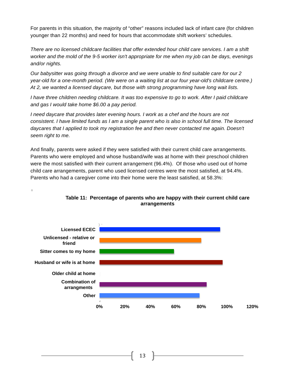For parents in this situation, the majority of "other" reasons included lack of infant care (for children younger than 22 months) and need for hours that accommodate shift workers' schedules.

*There are no licensed childcare facilities that offer extended hour child care services. I am a shift worker and the mold of the 9-5 worker isn't appropriate for me when my job can be days, evenings and/or nights.*

*Our babysitter was going through a divorce and we were unable to find suitable care for our 2 year-old for a one-month period. (We were on a waiting list at our four year-old's childcare centre.) At 2, we wanted a licensed daycare, but those with strong programming have long wait lists.*

*I have three children needing childcare. It was too expensive to go to work. After I paid childcare and gas I would take home \$6.00 a pay period.*

*I need daycare that provides later evening hours. I work as a chef and the hours are not consistent. I have limited funds as I am a single parent who is also in school full time. The licensed daycares that I applied to took my registration fee and then never contacted me again. Doesn't seem right to me.*

And finally, parents were asked if they were satisfied with their current child care arrangements. Parents who were employed and whose husband/wife was at home with their preschool children were the most satisfied with their current arrangement (96.4%). Of those who used out of home child care arrangements, parent who used licensed centres were the most satisfied, at 94.4%. Parents who had a caregiver come into their home were the least satisfied, at 58.3%:

 $\Box$ 

![](_page_15_Figure_6.jpeg)

#### **Table 11: Percentage of parents who are happy with their current child care arrangements**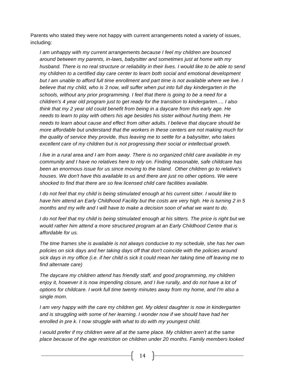Parents who stated they were not happy with current arrangements noted a variety of issues, including:

*I am unhappy with my current arrangements because I feel my children are bounced around between my parents, in-laws, babysitter and sometimes just at home with my husband. There is no real structure or reliability in their lives. I would like to be able to send my children to a certified day care center to learn both social and emotional development but I am unable to afford full time enrollment and part time is not available where we live. I*  believe that my child, who is 3 now, will suffer when put into full day kindergarten in the schools, without any prior programming. I feel that there is going to be a need for a *children's 4 year old program just to get ready for the transition to kindergarten…. I also think that my 2 year old could benefit from being in a daycare from this early age. He needs to learn to play with others his age besides his sister without hurting them. He needs to learn about cause and effect from other adults. I believe that daycare should be more affordable but understand that the workers in these centers are not making much for the quality of service they provide, thus leaving me to settle for a babysitter, who takes excellent care of my children but is not progressing their social or intellectual growth.*

*I live in a rural area and I am from away. There is no organized child care available in my community and I have no relatives here to rely on. Finding reasonable, safe childcare has been an enormous issue for us since moving to the Island. Other children go to relative's houses. We don't have this available to us and there are just no other options. We were shocked to find that there are so few licensed child care facilities available.*

*I do not feel that my child is being stimulated enough at his current sitter. I would like to have him attend an Early Childhood Facility but the costs are very high. He is turning 2 in 5 months and my wife and I will have to make a decision soon of what we want to do.*

I do not feel that my child is being stimulated enough at his sitters. The price is right but we *would rather him attend a more structured program at an Early Childhood Centre that is affordable for us.*

*The time frames she is available is not always conducive to my schedule, she has her own policies on sick days and her taking days off that don't coincide with the policies around sick days in my office (i.e. if her child is sick it could mean her taking time off leaving me to find alternate care)*

*The daycare my children attend has friendly staff, and good programming, my children enjoy it, however it is now impending closure, and I live rurally, and do not have a lot of options for childcare. I work full time twenty minutes away from my home, and I'm also a single mom.*

*I am very happy with the care my children get. My oldest daughter is now in kindergarten*  and is struggling with some of her learning. I wonder now if we should have had her *enrolled in pre k. I now struggle with what to do with my youngest child.*

*I would prefer if my children were all at the same place. My children aren't at the same place because of the age restriction on children under 20 months. Family members looked*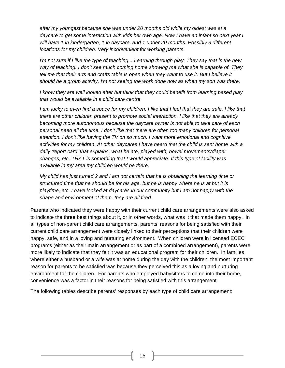*after my youngest because she was under 20 months old while my oldest was at a daycare to get some interaction with kids her own age. Now I have an infant so next year I will have 1 in kindergarten, 1 in daycare, and 1 under 20 months. Possibly 3 different locations for my children. Very inconvenient for working parents.*

*I'm not sure if I like the type of teaching... Learning through play. They say that is the new way of teaching. I don't see much coming home showing me what she is capable of. They*  tell me that their arts and crafts table is open when they want to use it. But I believe it *should be a group activity. I'm not seeing the work done now as when my son was there.*

*I know they are well looked after but think that they could benefit from learning based play that would be available in a child care centre.*

*I am lucky to even find a space for my children. I like that I feel that they are safe. I like that there are other children present to promote social interaction. I like that they are already becoming more autonomous because the daycare owner is not able to take care of each personal need all the time. I don't like that there are often too many children for personal attention. I don't like having the TV on so much. I want more emotional and cognitive activities for my children. At other daycares I have heard that the child is sent home with a daily 'report card' that explains, what he ate, played with, bowel movements/diaper changes, etc. THAT is something that I would appreciate. If this type of facility was available in my area my children would be there.*

*My child has just turned 2 and I am not certain that he is obtaining the learning time or structured time that he should be for his age, but he is happy where he is at but it is playtime, etc. I have looked at daycares in our community but I am not happy with the shape and environment of them, they are all tired.*

Parents who indicated they were happy with their current child care arrangements were also asked to indicate the three best things about it, or in other words, what was it that made them happy. In all types of non-parent child care arrangements, parents' reasons for being satisfied with their current child care arrangement were closely linked to their perceptions that their children were happy, safe, and in a loving and nurturing environment. When children were in licensed ECEC programs (either as their main arrangement or as part of a combined arrangement), parents were more likely to indicate that they felt it was an educational program for their children. In families where either a husband or a wife was at home during the day with the children, the most important reason for parents to be satisfied was because they perceived this as a loving and nurturing environment for the children. For parents who employed babysitters to come into their home, convenience was a factor in their reasons for being satisfied with this arrangement.

The following tables describe parents' responses by each type of child care arrangement: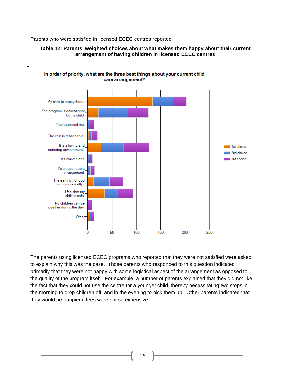Parents who were satisfied in licensed ECEC centres reported:

![](_page_18_Figure_1.jpeg)

#### **Table 12: Parents' weighted choices about what makes them happy about their current arrangement of having children in licensed ECEC centres**

The parents using licensed ECEC programs who reported that they were not satisfied were asked to explain why this was the case. Those parents who responded to this question indicated primarily that they were not happy with some logistical aspect of the arrangement as opposed to the quality of the program itself. For example, a number of parents explained that they did not like the fact that they could not use the centre for a younger child, thereby necessitating two stops in the morning to drop children off, and in the evening to pick them up. Other parents indicated that they would be happier if fees were not so expensive.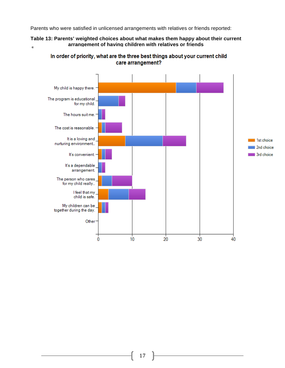Parents who were satisfied in unlicensed arrangements with relatives or friends reported:

#### **Table 13: Parents' weighted choices about what makes them happy about their current arrangement of having children with relatives or friends** $\blacksquare$

In order of priority, what are the three best things about your current child care arrangement?

![](_page_19_Figure_3.jpeg)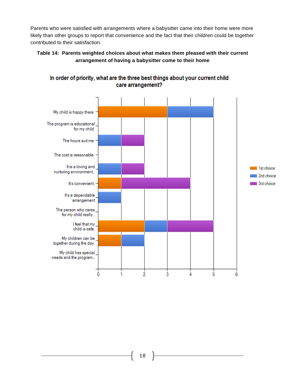Parents who were satisfied with arrangements where a babysitter came into their home were more likely than other groups to report that convenience and the fact that their children could be together contributed to their satisfaction.

# **Table 14: Parents weighted choices about what makes them pleased with their current arrangement of having a babysitter come to their home**

![](_page_20_Figure_2.jpeg)

# In order of priority, what are the three best things about your current child care arrangement?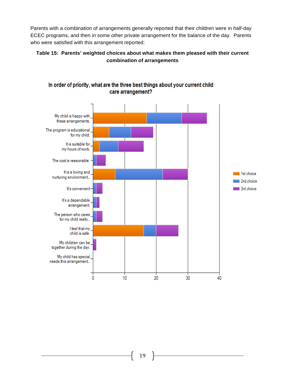Parents with a combination of arrangements generally reported that their children were in half-day ECEC programs, and then in some other private arrangement for the balance of the day. Parents who were satisfied with this arrangement reported:

### **Table 15: Parents' weighted choices about what makes them pleased with their current combination of arrangements**

![](_page_21_Figure_2.jpeg)

# In order of priority, what are the three best things about your current child care arrangement?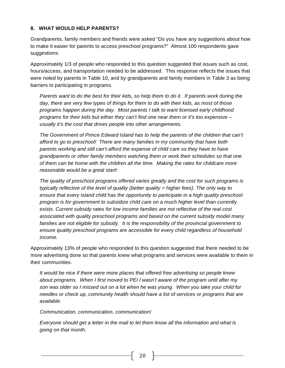#### **8. WHAT WOULD HELP PARENTS?**

Grandparents, family members and friends were asked "Do you have any suggestions about how to make it easier for parents to access preschool programs?" Almost 100 respondents gave suggestions:

Approximately 1/3 of people who responded to this question suggested that issues such as cost, hours/access, and transportation needed to be addressed. This response reflects the issues that were noted by parents in Table 10, and by grandparents and family members in Table 3 as being barriers to participating in programs.

*Parents want to do the best for their kids, so help them to do it. If parents work during the day, there are very few types of things for them to do with their kids, as most of those programs happen during the day. Most parents I talk to want licensed early childhood programs for their kids but either they can't find one near them or it's too expensive – usually it's the cost that drives people into other arrangements.*

*The Government of Prince Edward Island has to help the parents of the children that can't afford to go to preschool! There are many families in my community that have both parents working and still can't afford the expense of child care so they have to have grandparents or other family members watching them or work their schedules so that one of them can be home with the children all the time. Making the rates for childcare more reasonable would be a great start!*

*The quality of preschool programs offered varies greatly and the cost for such programs is typically reflective of the level of quality (better quality = higher fees). The only way to ensure that every Island child has the opportunity to participate in a high quality preschool program is for government to subsidize child care on a much higher level than currently exists. Current subsidy rates for low income families are not reflective of the real cost associated with quality preschool programs and based on the current subsidy model many families are not eligible for subsidy. It is the responsibility of the provincial government to ensure quality preschool programs are accessible for every child regardless of household income.*

Approximately 13% of people who responded to this question suggested that there needed to be more advertising done so that parents knew what programs and services were available to them in their communities.

*It would be nice if there were more places that offered free advertising so people knew about programs. When I first moved to PEI I wasn't aware of the program until after my son was older so I missed out on a lot when he was young. When you take your child for needles or check up, community health should have a list of services or programs that are available.*

#### *Communication, communication, communication!*

*Everyone should get a letter in the mail to let them know all the information and what is going on that month.*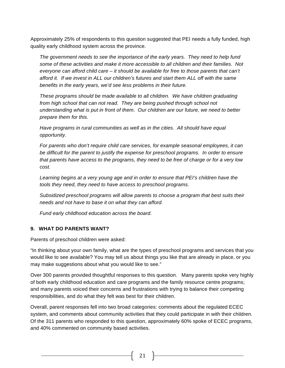Approximately 25% of respondents to this question suggested that PEI needs a fully funded, high quality early childhood system across the province.

*The government needs to see the importance of the early years. They need to help fund some of these activities and make it more accessible to all children and their families. Not everyone can afford child care – it should be available for free to those parents that can't*  afford it. If we invest in ALL our children's futures and start them ALL off with the same *benefits in the early years, we'd see less problems in their future.*

*These programs should be made available to all children. We have children graduating from high school that can not read. They are being pushed through school not understanding what is put in front of them. Our children are our future, we need to better prepare them for this.*

*Have programs in rural communities as well as in the cities. All should have equal opportunity.*

*For parents who don't require child care services, for example seasonal employees, it can be difficult for the parent to justify the expense for preschool programs. In order to ensure that parents have access to the programs, they need to be free of charge or for a very low cost.*

*Learning begins at a very young age and in order to ensure that PEI's children have the tools they need, they need to have access to preschool programs.*

*Subsidized preschool programs will allow parents to choose a program that best suits their needs and not have to base it on what they can afford.*

*Fund early childhood education across the board.*

# **9. WHAT DO PARENTS WANT?**

Parents of preschool children were asked:

"In thinking about your own family, what are the types of preschool programs and services that you would like to see available? You may tell us about things you like that are already in place, or you may make suggestions about what you would like to see."

Over 300 parents provided thoughtful responses to this question. Many parents spoke very highly of both early childhood education and care programs and the family resource centre programs; and many parents voiced their concerns and frustrations with trying to balance their competing responsibilities, and do what they felt was best for their children.

Overall, parent responses fell into two broad categories: comments about the regulated ECEC system, and comments about community activities that they could participate in with their children. Of the 311 parents who responded to this question, approximately 60% spoke of ECEC programs, and 40% commented on community based activities.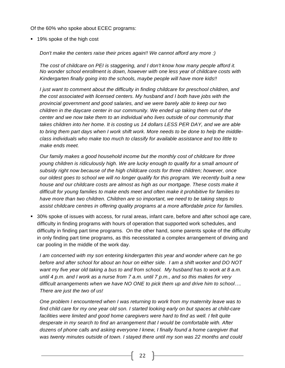Of the 60% who spoke about ECEC programs:

■ 19% spoke of the high cost

*Don't make the centers raise their prices again!! We cannot afford any more :)*

*The cost of childcare on PEI is staggering, and I don't know how many people afford it. No wonder school enrollment is down, however with one less year of childcare costs with Kindergarten finally going into the schools, maybe people will have more kids!!*

*I just want to comment about the difficulty in finding childcare for preschool children, and the cost associated with licensed centers. My husband and I both have jobs with the provincial government and good salaries, and we were barely able to keep our two children in the daycare center in our community. We ended up taking them out of the center and we now take them to an individual who lives outside of our community that takes children into her home. It is costing us 14 dollars LESS PER DAY, and we are able to bring them part days when I work shift work. More needs to be done to help the middleclass individuals who make too much to classify for available assistance and too little to make ends meet.*

*Our family makes a good household income but the monthly cost of childcare for three young children is ridiculously high. We are lucky enough to qualify for a small amount of subsidy right now because of the high childcare costs for three children; however, once our oldest goes to school we will no longer qualify for this program. We recently built a new house and our childcare costs are almost as high as our mortgage. These costs make it difficult for young families to make ends meet and often make it prohibitive for families to have more than two children. Children are so important, we need to be taking steps to assist childcare centres in offering quality programs at a more affordable price for families.*

! 30% spoke of issues with access, for rural areas, infant care, before and after school age care, difficulty in finding programs with hours of operation that supported work schedules, and difficulty in finding part time programs. On the other hand, some parents spoke of the difficulty in only finding part time programs, as this necessitated a complex arrangement of driving and car pooling in the middle of the work day.

*I am concerned with my son entering kindergarten this year and wonder where can he go before and after school for about an hour on either side. I am a shift worker and DO NOT want my five year old taking a bus to and from school. My husband has to work at 8 a.m. until 4 p.m. and I work as a nurse from 7 a.m. until 7 p.m., and so this makes for very difficult arrangements when we have NO ONE to pick them up and drive him to school…. There are just the two of us!*

*One problem I encountered when I was returning to work from my maternity leave was to find child care for my one year old son. I started looking early on but spaces at child-care*  facilities were limited and good home caregivers were hard to find as well. I felt quite *desperate in my search to find an arrangement that I would be comfortable with. After dozens of phone calls and asking everyone I knew, I finally found a home caregiver that was twenty minutes outside of town. I stayed there until my son was 22 months and could*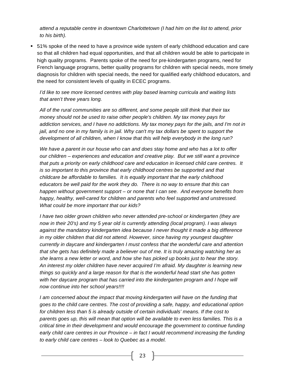*attend a reputable centre in downtown Charlottetown (I had him on the list to attend, prior to his birth).*

! 51% spoke of the need to have a province wide system of early childhood education and care so that all children had equal opportunities, and that all children would be able to participate in high quality programs. Parents spoke of the need for pre-kindergarten programs, need for French language programs, better quality programs for children with special needs, more timely diagnosis for children with special needs, the need for qualified early childhood educators, and the need for consistent levels of quality in ECEC programs.

*I'd like to see more licensed centres with play based learning curricula and waiting lists that aren't three years long.*

*All of the rural communities are so different, and some people still think that their tax money should not be used to raise other people's children. My tax money pays for addiction services, and I have no addictions. My tax money pays for the jails, and I'm not in jail, and no one in my family is in jail. Why can't my tax dollars be spent to support the development of all children, when I know that this will help everybody in the long run?*

*We have a parent in our house who can and does stay home and who has a lot to offer our children – experiences and education and creative play. But we still want a province that puts a priority on early childhood care and education in licensed child care centres. It is so important to this province that early childhood centres be supported and that childcare be affordable to families. It is equally important that the early childhood educators be well paid for the work they do. There is no way to ensure that this can happen without government support – or none that I can see. And everyone benefits from happy, healthy, well-cared for children and parents who feel supported and unstressed. What could be more important that our kids?*

*I have two older grown children who never attended pre-school or kindergarten (they are now in their 20's) and my 5 year old is currently attending (local program). I was always against the mandatory kindergarten idea because I never thought it made a big difference in my older children that did not attend. However, since having my youngest daughter currently in daycare and kindergarten I must confess that the wonderful care and attention that she gets has definitely made a believer out of me. It is truly amazing watching her as she learns a new letter or word, and how she has picked up books just to hear the story. An interest my older children have never acquired I'm afraid. My daughter is learning new things so quickly and a large reason for that is the wonderful head start she has gotten with her daycare program that has carried into the kindergarten program and I hope will now continue into her school years!!!!*

*I* am concerned about the impact that moving kindergarten will have on the funding that *goes to the child care centres. The cost of providing a safe, happy, and educational option for children less than 5 is already outside of certain individuals' means. If the cost to parents goes up, this will mean that option will be available to even less families. This is a critical time in their development and would encourage the government to continue funding early child care centres in our Province – in fact I would recommend increasing the funding to early child care centres – look to Quebec as a model.*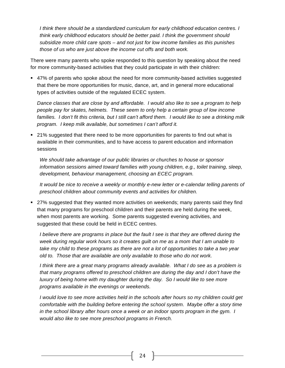*I think there should be a standardized curriculum for early childhood education centres. I think early childhood educators should be better paid. I think the government should subsidize more child care spots – and not just for low income families as this punishes those of us who are just above the income cut offs and both work.*

There were many parents who spoke responded to this question by speaking about the need for more community-based activities that they could participate in with their children:

! 47% of parents who spoke about the need for more community-based activities suggested that there be more opportunities for music, dance, art, and in general more educational types of activities outside of the regulated ECEC system.

*Dance classes that are close by and affordable. I would also like to see a program to help people pay for skates, helmets. These seem to only help a certain group of low income*  families. I don't fit this criteria, but I still can't afford them. I would like to see a drinking milk *program. I keep milk available, but sometimes I can't afford it.*

! 21% suggested that there need to be more opportunities for parents to find out what is available in their communities, and to have access to parent education and information sessions

*We should take advantage of our public libraries or churches to house or sponsor information sessions aimed toward families with young children, e.g., toilet training, sleep, development, behaviour management, choosing an ECEC program.*

*It would be nice to receive a weekly or monthly e-new letter or e-calendar telling parents of preschool children about community events and activities for children.*

! 27% suggested that they wanted more activities on weekends; many parents said they find that many programs for preschool children and their parents are held during the week, when most parents are working. Some parents suggested evening activities, and suggested that these could be held in ECEC centres.

*I* believe there are programs in place but the fault I see is that they are offered during the *week during regular work hours so it creates guilt on me as a mom that I am unable to take my child to these programs as there are not a lot of opportunities to take a two year old to. Those that are available are only available to those who do not work.*

*I think there are a great many programs already available. What I do see as a problem is that many programs offered to preschool children are during the day and I don't have the luxury of being home with my daughter during the day. So I would like to see more programs available in the evenings or weekends.*

*I* would love to see more activities held in the schools after hours so my children could get *comfortable with the building before entering the school system. Maybe offer a story time in the school library after hours once a week or an indoor sports program in the gym. I would also like to see more preschool programs in French.*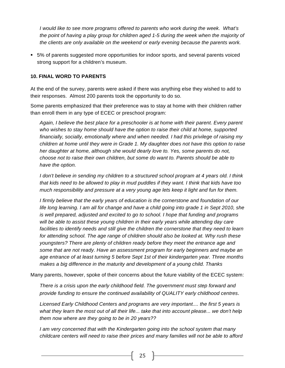*I would like to see more programs offered to parents who work during the week. What's the point of having a play group for children aged 1-5 during the week when the majority of the clients are only available on the weekend or early evening because the parents work.*

! 5% of parents suggested more opportunities for indoor sports, and several parents voiced strong support for a children's museum.

#### **10. FINAL WORD TO PARENTS**

At the end of the survey, parents were asked if there was anything else they wished to add to their responses. Almost 200 parents took the opportunity to do so.

Some parents emphasized that their preference was to stay at home with their children rather than enroll them in any type of ECEC or preschool program:

*Again, I believe the best place for a preschooler is at home with their parent. Every parent who wishes to stay home should have the option to raise their child at home, supported financially, socially, emotionally where and when needed. I had this privilege of raising my children at home until they were in Grade 1. My daughter does not have this option to raise her daughter at home, although she would dearly love to. Yes, some parents do not, choose not to raise their own children, but some do want to. Parents should be able to have the option.*

*I don't believe in sending my children to a structured school program at 4 years old. I think that kids need to be allowed to play in mud puddles if they want. I think that kids have too much responsibility and pressure at a very young age lets keep it light and fun for them.*

*I firmly believe that the early years of education is the cornerstone and foundation of our life long learning. I am all for change and have a child going into grade 1 in Sept 2010, she is well prepared, adjusted and excited to go to school. I hope that funding and programs will be able to assist these young children in their early years while attending day care*  facilities to identify needs and still give the children the cornerstone that they need to learn *for attending school. The age range of children should also be looked at. Why rush these youngsters? There are plenty of children ready before they meet the entrance age and some that are not ready. Have an assessment program for early beginners and maybe an age entrance of at least turning 5 before Sept 1st of their kindergarten year. Three months makes a big difference in the maturity and development of a young child. Thanks*

Many parents, however, spoke of their concerns about the future viability of the ECEC system:

*There is a crisis upon the early childhood field. The government must step forward and provide funding to ensure the continued availability of QUALITY early childhood centres*.

*Licensed Early Childhood Centers and programs are very important.... the first 5 years is what they learn the most out of all their life... take that into account please... we don't help them now where are they going to be in 20 years??*

*I am very concerned that with the Kindergarten going into the school system that many childcare centers will need to raise their prices and many families will not be able to afford*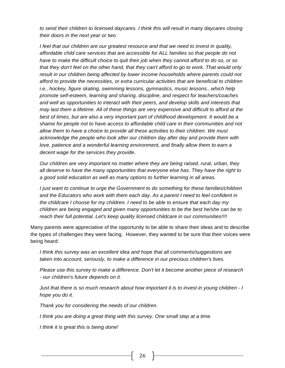*to send their children to licensed daycares. I think this will result in many daycares closing their doors in the next year or two.*

*I feel that our children are our greatest resource and that we need to invest in quality, affordable child care services that are accessible for ALL families so that people do not have to make the difficult choice to quit their job when they cannot afford to do so, or so that they don't feel on the other hand, that they can't afford to go to work. That would only*  result in our children being affected by lower income households where parents could not *afford to provide the necessities, or extra curricular activities that are beneficial to children i.e., hockey, figure skating, swimming lessons, gymnastics, music lessons...which help promote self-esteem, learning and sharing, discipline, and respect for teachers/coaches and well as opportunities to interact with their peers, and develop skills and interests that may last them a lifetime. All of these things are very expensive and difficult to afford at the best of times, but are also a very important part of childhood development. It would be a shame for people not to have access to affordable child care in their communities and not allow them to have a choice to provide all these activities to their children. We must acknowledge the people who look after our children day after day and provide them with love, patience and a wonderful learning environment, and finally allow them to earn a decent wage for the services they provide*.

*Our children are very important no matter where they are being raised, rural, urban, they all deserve to have the many opportunities that everyone else has. They have the right to a good solid education as well as many options to further learning in all areas.*

*I just want to continue to urge the Government to do something for these families/children and the Educators who work with them each day. As a parent I need to feel confident in the childcare I choose for my children. I need to be able to ensure that each day my children are being engaged and given many opportunities to be the best he/she can be to reach their full potential. Let's keep quality licensed childcare in our communities!!!!*

Many parents were appreciative of the opportunity to be able to share their ideas and to describe the types of challenges they were facing. However, they wanted to be sure that their voices were being heard:

*I think this survey was an excellent idea and hope that all comments/suggestions are taken into account, seriously, to make a difference in our precious children's lives.*

*Please use this survey to make a difference. Don't let it become another piece of research - our children's future depends on it.*

*Just that there is so much research about how important it is to invest in young children - I hope you do it.*

*Thank you for considering the needs of our children.*

*I think you are doing a great thing with this survey. One small step at a time.*

*I think it is great this is being done!*